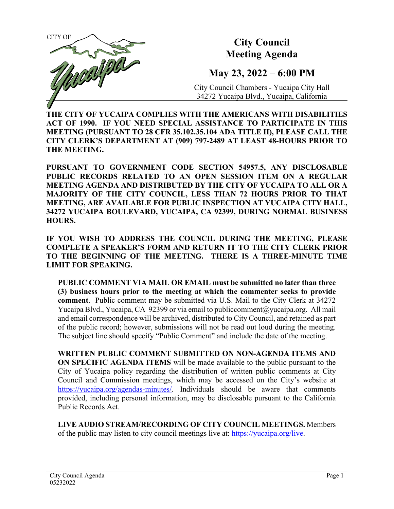

**THE CITY OF YUCAIPA COMPLIES WITH THE AMERICANS WITH DISABILITIES ACT OF 1990. IF YOU NEED SPECIAL ASSISTANCE TO PARTICIPATE IN THIS MEETING (PURSUANT TO 28 CFR 35.102.35.104 ADA TITLE II), PLEASE CALL THE CITY CLERK'S DEPARTMENT AT (909) 797-2489 AT LEAST 48-HOURS PRIOR TO THE MEETING.**

**PURSUANT TO GOVERNMENT CODE SECTION 54957.5, ANY DISCLOSABLE PUBLIC RECORDS RELATED TO AN OPEN SESSION ITEM ON A REGULAR MEETING AGENDA AND DISTRIBUTED BY THE CITY OF YUCAIPA TO ALL OR A MAJORITY OF THE CITY COUNCIL, LESS THAN 72 HOURS PRIOR TO THAT MEETING, ARE AVAILABLE FOR PUBLIC INSPECTION AT YUCAIPA CITY HALL, 34272 YUCAIPA BOULEVARD, YUCAIPA, CA 92399, DURING NORMAL BUSINESS HOURS.**

**IF YOU WISH TO ADDRESS THE COUNCIL DURING THE MEETING, PLEASE COMPLETE A SPEAKER'S FORM AND RETURN IT TO THE CITY CLERK PRIOR TO THE BEGINNING OF THE MEETING. THERE IS A THREE-MINUTE TIME LIMIT FOR SPEAKING.**

**PUBLIC COMMENT VIA MAIL OR EMAIL must be submitted no later than three (3) business hours prior to the meeting at which the commenter seeks to provide comment**. Public comment may be submitted via U.S. Mail to the City Clerk at 34272 Yucaipa Blvd., Yucaipa, CA 92399 or via email t[o publiccomment@yucaipa.org.](mailto:publiccomment@yucaipa.org) All mail and email correspondence will be archived, distributed to City Council, and retained as part of the public record; however, submissions will not be read out loud during the meeting. The subject line should specify "Public Comment" and include the date of the meeting.

**WRITTEN PUBLIC COMMENT SUBMITTED ON NON-AGENDA ITEMS AND ON SPECIFIC AGENDA ITEMS** will be made available to the public pursuant to the City of Yucaipa policy regarding the distribution of written public comments at City Council and Commission meetings, which may be accessed on the City's website at [https://yucaipa.org/agendas-minutes/.](https://yucaipa.org/agendas-minutes/) Individuals should be aware that comments provided, including personal information, may be disclosable pursuant to the California Public Records Act.

**LIVE AUDIO STREAM/RECORDING OF CITY COUNCIL MEETINGS.** Members of the public may listen to city council meetings live at: [https://yucaipa.org/live.](https://yucaipa.org/live)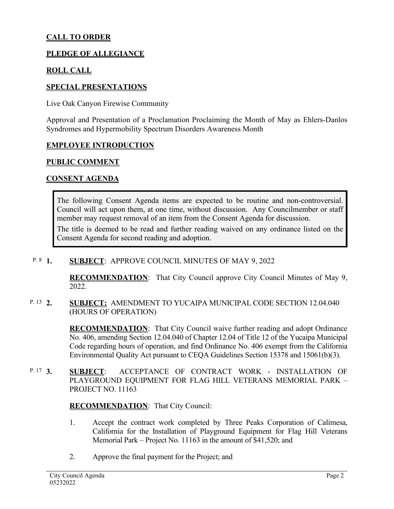# **CALL TO ORDER**

### **PLEDGE OF ALLEGIANCE**

## **ROLL CALL**

### **SPECIAL PRESENTATIONS**

Live Oak Canyon Firewise Community

Approval and Presentation of a Proclamation Proclaiming the Month of May as Ehlers-Danlos Syndromes and Hypermobility Spectrum Disorders Awareness Month

### **EMPLOYEE INTRODUCTION**

### **PUBLIC COMMENT**

### **CONSENT AGENDA**

The following Consent Agenda items are expected to be routine and non-controversial. Council will act upon them, at one time, without discussion. Any Councilmember or staff member may request removal of an item from the Consent Agenda for discussion.

The title is deemed to be read and further reading waived on any ordinance listed on the Consent Agenda for second reading and adoption.

#### **1. SUBJECT**: APPROVE COUNCIL MINUTES OF MAY 9, 2022  $P. 8 \quad 1.$

**RECOMMENDATION**:That City Council approve City Council Minutes of May 9, 2022.

### **2. SUBJECT:** AMENDMENT TO YUCAIPA MUNICIPAL CODE SECTION 12.04.040 (HOURS OF OPERATION) P. 13 2.

**RECOMMENDATION:** That City Council waive further reading and adopt Ordinance No. 406, amending Section 12.04.040 of Chapter 12.04 of Title 12 of the Yucaipa Municipal Code regarding hours of operation, and find Ordinance No. 406 exempt from the California Environmental Quality Act pursuant to CEQA Guidelines Section 15378 and 15061(b)(3).

**3. SUBJECT**: ACCEPTANCE OF CONTRACT WORK - INSTALLATION OF PLAYGROUND EQUIPMENT FOR FLAG HILL VETERANS MEMORIAL PARK – PROJECT NO. 11163 P. 17 3.

### **RECOMMENDATION**:That City Council:

- 1. Accept the contract work completed by Three Peaks Corporation of Calimesa, California for the Installation of Playground Equipment for Flag Hill Veterans Memorial Park – Project No. 11163 in the amount of \$41,520; and
- 2. Approve the final payment for the Project; and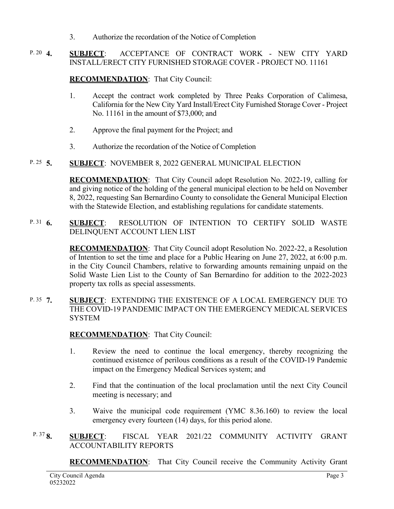3. Authorize the recordation of the Notice of Completion

### **4. SUBJECT**: ACCEPTANCE OF CONTRACT WORK - NEW CITY YARD INSTALL/ERECT CITY FURNISHED STORAGE COVER - PROJECT NO. 11161 P. 20  $\triangle$

## **RECOMMENDATION**:That City Council:

- 1. Accept the contract work completed by Three Peaks Corporation of Calimesa, California for the New City Yard Install/Erect City Furnished Storage Cover - Project No. 11161 in the amount of \$73,000; and
- 2. Approve the final payment for the Project; and
- 3. Authorize the recordation of the Notice of Completion

#### **5. SUBJECT**: NOVEMBER 8, 2022 GENERAL MUNICIPAL ELECTION P. 25  $\overline{5}$ .

**RECOMMENDATION**:That City Council adopt Resolution No. 2022-19, calling for and giving notice of the holding of the general municipal election to be held on November 8, 2022, requesting San Bernardino County to consolidate the General Municipal Election with the Statewide Election, and establishing regulations for candidate statements.

**6. SUBJECT**: RESOLUTION OF INTENTION TO CERTIFY SOLID WASTE DELINQUENT ACCOUNT LIEN LIST P. 31  $6.$ 

> **RECOMMENDATION**:That City Council adopt Resolution No. 2022-22, a Resolution of Intention to set the time and place for a Public Hearing on June 27, 2022, at 6:00 p.m. in the City Council Chambers, relative to forwarding amounts remaining unpaid on the Solid Waste Lien List to the County of San Bernardino for addition to the 2022-2023 property tax rolls as special assessments.

**7. SUBJECT**: EXTENDING THE EXISTENCE OF A LOCAL EMERGENCY DUE TO THE COVID-19 PANDEMIC IMPACT ON THE EMERGENCY MEDICAL SERVICES **SYSTEM** P. 35 7.

**RECOMMENDATION**:That City Council:

- 1. Review the need to continue the local emergency, thereby recognizing the continued existence of perilous conditions as a result of the COVID-19 Pandemic impact on the Emergency Medical Services system; and
- 2. Find that the continuation of the local proclamation until the next City Council meeting is necessary; and
- 3. Waive the municipal code requirement (YMC 8.36.160) to review the local emergency every fourteen (14) days, for this period alone.
- **8. SUBJECT**: FISCAL YEAR 2021/22 COMMUNITY ACTIVITY GRANT ACCOUNTABILITY REPORTS P. 37 $\mathbf{8}$

**RECOMMENDATION**:That City Council receive the Community Activity Grant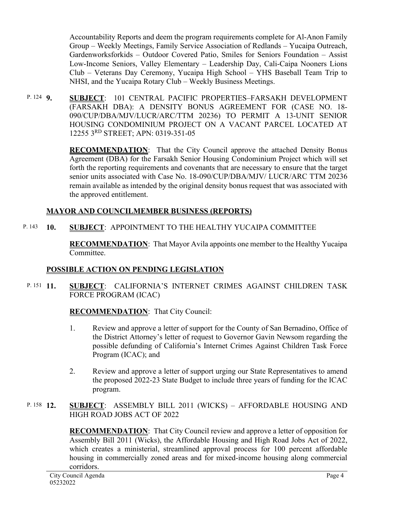Accountability Reports and deem the program requirements complete for Al-Anon Family Group – Weekly Meetings, Family Service Association of Redlands – Yucaipa Outreach, Gardenworksforkids – Outdoor Covered Patio, Smiles for Seniors Foundation – Assist Low-Income Seniors, Valley Elementary – Leadership Day, Cali-Caipa Nooners Lions Club – Veterans Day Ceremony, Yucaipa High School – YHS Baseball Team Trip to NHSI, and the Yucaipa Rotary Club – Weekly Business Meetings.

**9. SUBJECT**: 101 CENTRAL PACIFIC PROPERTIES–FARSAKH DEVELOPMENT (FARSAKH DBA): A DENSITY BONUS AGREEMENT FOR (CASE NO. 18- 090/CUP/DBA/MJV/LUCR/ARC/TTM 20236) TO PERMIT A 13-UNIT SENIOR HOUSING CONDOMINIUM PROJECT ON A VACANT PARCEL LOCATED AT 12255 3RD STREET; APN: 0319-351-05 P. 124 **Q** 

> **RECOMMENDATION:** That the City Council approve the attached Density Bonus Agreement (DBA) for the Farsakh Senior Housing Condominium Project which will set forth the reporting requirements and covenants that are necessary to ensure that the target senior units associated with Case No. 18-090/CUP/DBA/MJV/ LUCR/ARC TTM 20236 remain available as intended by the original density bonus request that was associated with the approved entitlement.

# **MAYOR AND COUNCILMEMBER BUSINESS (REPORTS)**

#### **10. SUBJECT**: APPOINTMENT TO THE HEALTHY YUCAIPA COMMITTEE P. 143

**RECOMMENDATION**:That Mayor Avila appoints one member to the Healthy Yucaipa Committee.

# **POSSIBLE ACTION ON PENDING LEGISLATION**

**11. SUBJECT**: CALIFORNIA'S INTERNET CRIMES AGAINST CHILDREN TASK FORCE PROGRAM (ICAC) P. 151 11.

# **RECOMMENDATION**:That City Council:

- 1. Review and approve a letter of support for the County of San Bernadino, Office of the District Attorney's letter of request to Governor Gavin Newsom regarding the possible defunding of California's Internet Crimes Against Children Task Force Program (ICAC); and
- 2. Review and approve a letter of support urging our State Representatives to amend the proposed 2022-23 State Budget to include three years of funding for the ICAC program.

### **<u>SUBJECT</u>:** ASSEMBLY BILL 2011 (WICKS) – AFFORDABLE HOUSING AND HIGH ROAD JOBS ACT OF 2022 P. 158  $12.$

**RECOMMENDATION**:That City Council review and approve a letter of opposition for Assembly Bill 2011 (Wicks), the Affordable Housing and High Road Jobs Act of 2022, which creates a ministerial, streamlined approval process for 100 percent affordable housing in commercially zoned areas and for mixed-income housing along commercial corridors.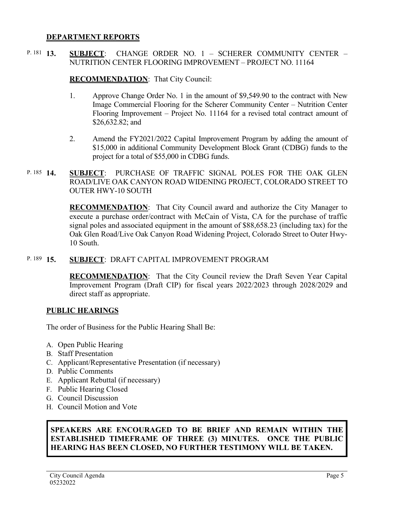### **DEPARTMENT REPORTS**

**13. SUBJECT**: CHANGE ORDER NO. 1 – SCHERER COMMUNITY CENTER – NUTRITION CENTER FLOORING IMPROVEMENT – PROJECT NO. 11164 P. 181 13.

### **RECOMMENDATION**:That City Council:

- 1. Approve Change Order No. 1 in the amount of \$9,549.90 to the contract with New Image Commercial Flooring for the Scherer Community Center – Nutrition Center Flooring Improvement – Project No. 11164 for a revised total contract amount of \$26,632.82; and
- 2. Amend the FY2021/2022 Capital Improvement Program by adding the amount of \$15,000 in additional Community Development Block Grant (CDBG) funds to the project for a total of \$55,000 in CDBG funds.
- **SUBJECT:** PURCHASE OF TRAFFIC SIGNAL POLES FOR THE OAK GLEN ROAD/LIVE OAK CANYON ROAD WIDENING PROJECT, COLORADO STREET TO OUTER HWY-10 SOUTH P. 185 14.

**RECOMMENDATION**:That City Council award and authorize the City Manager to execute a purchase order/contract with McCain of Vista, CA for the purchase of traffic signal poles and associated equipment in the amount of \$88,658.23 (including tax) for the Oak Glen Road/Live Oak Canyon Road Widening Project, Colorado Street to Outer Hwy-10 South.

#### **15. SUBJECT**: DRAFT CAPITAL IMPROVEMENT PROGRAM P. 189 15.

**RECOMMENDATION**:That the City Council review the Draft Seven Year Capital Improvement Program (Draft CIP) for fiscal years 2022/2023 through 2028/2029 and direct staff as appropriate.

## **PUBLIC HEARINGS**

The order of Business for the Public Hearing Shall Be:

- A. Open Public Hearing
- B. Staff Presentation
- C. Applicant/Representative Presentation (if necessary)
- D. Public Comments
- E. Applicant Rebuttal (if necessary)
- F. Public Hearing Closed
- G. Council Discussion
- H. Council Motion and Vote

## **SPEAKERS ARE ENCOURAGED TO BE BRIEF AND REMAIN WITHIN THE ESTABLISHED TIMEFRAME OF THREE (3) MINUTES. ONCE THE PUBLIC HEARING HAS BEEN CLOSED, NO FURTHER TESTIMONY WILL BE TAKEN.**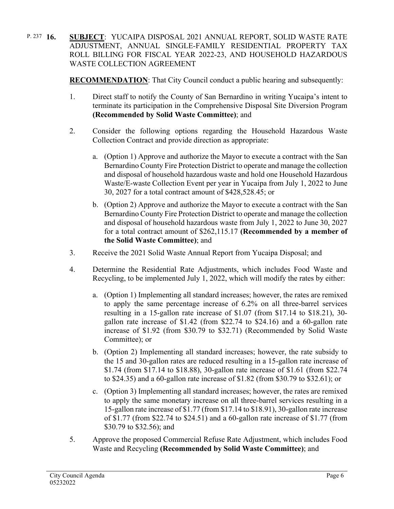**16. SUBJECT**: YUCAIPA DISPOSAL 2021 ANNUAL REPORT, SOLID WASTE RATE ADJUSTMENT, ANNUAL SINGLE-FAMILY RESIDENTIAL PROPERTY TAX ROLL BILLING FOR FISCAL YEAR 2022-23, AND HOUSEHOLD HAZARDOUS WASTE COLLECTION AGREEMENT P. 237  $16.$ 

**RECOMMENDATION**: That City Council conduct a public hearing and subsequently:

- 1. Direct staff to notify the County of San Bernardino in writing Yucaipa's intent to terminate its participation in the Comprehensive Disposal Site Diversion Program **(Recommended by Solid Waste Committee)**; and
- 2. Consider the following options regarding the Household Hazardous Waste Collection Contract and provide direction as appropriate:
	- a. (Option 1) Approve and authorize the Mayor to execute a contract with the San Bernardino County Fire Protection District to operate and manage the collection and disposal of household hazardous waste and hold one Household Hazardous Waste/E-waste Collection Event per year in Yucaipa from July 1, 2022 to June 30, 2027 for a total contract amount of \$428,528.45; or
	- b. (Option 2) Approve and authorize the Mayor to execute a contract with the San Bernardino County Fire Protection District to operate and manage the collection and disposal of household hazardous waste from July 1, 2022 to June 30, 2027 for a total contract amount of \$262,115.17 **(Recommended by a member of the Solid Waste Committee)**; and
- 3. Receive the 2021 Solid Waste Annual Report from Yucaipa Disposal; and
- 4. Determine the Residential Rate Adjustments, which includes Food Waste and Recycling, to be implemented July 1, 2022, which will modify the rates by either:
	- a. (Option 1) Implementing all standard increases; however, the rates are remixed to apply the same percentage increase of 6.2% on all three-barrel services resulting in a 15-gallon rate increase of \$1.07 (from \$17.14 to \$18.21), 30 gallon rate increase of \$1.42 (from \$22.74 to \$24.16) and a 60-gallon rate increase of \$1.92 (from \$30.79 to \$32.71) (Recommended by Solid Waste Committee); or
	- b. (Option 2) Implementing all standard increases; however, the rate subsidy to the 15 and 30-gallon rates are reduced resulting in a 15-gallon rate increase of \$1.74 (from \$17.14 to \$18.88), 30-gallon rate increase of \$1.61 (from \$22.74 to \$24.35) and a 60-gallon rate increase of \$1.82 (from \$30.79 to \$32.61); or
	- c. (Option 3) Implementing all standard increases; however, the rates are remixed to apply the same monetary increase on all three-barrel services resulting in a 15-gallon rate increase of \$1.77 (from \$17.14 to \$18.91), 30-gallon rate increase of \$1.77 (from \$22.74 to \$24.51) and a 60-gallon rate increase of \$1.77 (from \$30.79 to \$32.56); and
- 5. Approve the proposed Commercial Refuse Rate Adjustment, which includes Food Waste and Recycling **(Recommended by Solid Waste Committee)**; and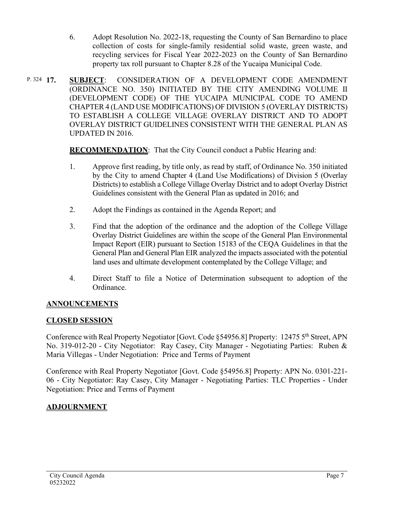- 6. Adopt Resolution No. 2022-18, requesting the County of San Bernardino to place collection of costs for single-family residential solid waste, green waste, and recycling services for Fiscal Year 2022-2023 on the County of San Bernardino property tax roll pursuant to Chapter 8.28 of the Yucaipa Municipal Code.
- **17. SUBJECT**: CONSIDERATION OF A DEVELOPMENT CODE AMENDMENT (ORDINANCE NO. 350) INITIATED BY THE CITY AMENDING VOLUME II (DEVELOPMENT CODE) OF THE YUCAIPA MUNICIPAL CODE TO AMEND CHAPTER 4 (LAND USE MODIFICATIONS) OF DIVISION 5 (OVERLAY DISTRICTS) TO ESTABLISH A COLLEGE VILLAGE OVERLAY DISTRICT AND TO ADOPT OVERLAY DISTRICT GUIDELINES CONSISTENT WITH THE GENERAL PLAN AS UPDATED IN 2016. P. 324 17.

**RECOMMENDATION**:That the City Council conduct a Public Hearing and:

- 1. Approve first reading, by title only, as read by staff, of Ordinance No. 350 initiated by the City to amend Chapter 4 (Land Use Modifications) of Division 5 (Overlay Districts) to establish a College Village Overlay District and to adopt Overlay District Guidelines consistent with the General Plan as updated in 2016; and
- 2. Adopt the Findings as contained in the Agenda Report; and
- 3. Find that the adoption of the ordinance and the adoption of the College Village Overlay District Guidelines are within the scope of the General Plan Environmental Impact Report (EIR) pursuant to Section 15183 of the CEQA Guidelines in that the General Plan and General Plan EIR analyzed the impacts associated with the potential land uses and ultimate development contemplated by the College Village; and
- 4. Direct Staff to file a Notice of Determination subsequent to adoption of the Ordinance.

# **ANNOUNCEMENTS**

# **CLOSED SESSION**

Conference with Real Property Negotiator [Govt. Code §54956.8] Property: 12475 5th Street, APN No. 319-012-20 - City Negotiator: Ray Casey, City Manager - Negotiating Parties: Ruben & Maria Villegas - Under Negotiation: Price and Terms of Payment

Conference with Real Property Negotiator [Govt. Code §54956.8] Property: APN No. 0301-221- 06 - City Negotiator: Ray Casey, City Manager - Negotiating Parties: TLC Properties - Under Negotiation: Price and Terms of Payment

# **ADJOURNMENT**